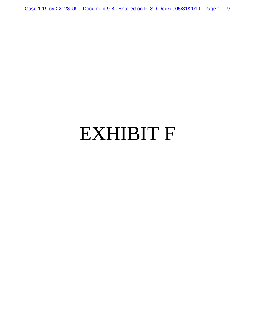Case 1:19-cv-22128-UU Document 9-8 Entered on FLSD Docket 05/31/2019 Page 1 of 9

# EXHIBIT F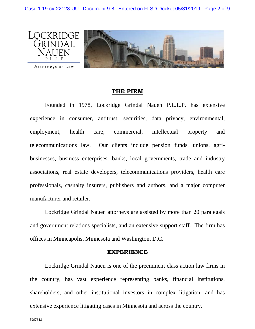

#### **THE FIRM**

Founded in 1978, Lockridge Grindal Nauen P.L.L.P. has extensive experience in consumer, antitrust, securities, data privacy, environmental, employment, health care, commercial, intellectual property and telecommunications law. Our clients include pension funds, unions, agribusinesses, business enterprises, banks, local governments, trade and industry associations, real estate developers, telecommunications providers, health care professionals, casualty insurers, publishers and authors, and a major computer manufacturer and retailer.

Lockridge Grindal Nauen attorneys are assisted by more than 20 paralegals and government relations specialists, and an extensive support staff. The firm has offices in Minneapolis, Minnesota and Washington, D.C.

#### **EXPERIENCE**

Lockridge Grindal Nauen is one of the preeminent class action law firms in the country, has vast experience representing banks, financial institutions, shareholders, and other institutional investors in complex litigation, and has extensive experience litigating cases in Minnesota and across the country.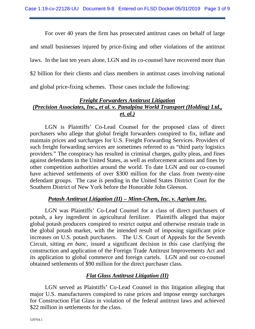For over 40 years the firm has prosecuted antitrust cases on behalf of large and small businesses injured by price-fixing and other violations of the antitrust laws. In the last ten years alone, LGN and its co-counsel have recovered more than \$2 billion for their clients and class members in antitrust cases involving national and global price-fixing schemes. Those cases include the following:

# *Freight Forwarders Antitrust Litigation (Precision Associates, Inc., et al. v. Panalpina World Transport (Holding) Ltd., et. al.)*

LGN is Plaintiffs' Co-Lead Counsel for the proposed class of direct purchasers who allege that global freight forwarders conspired to fix, inflate and maintain prices and surcharges for U.S. Freight Forwarding Services. Providers of such freight forwarding services are sometimes referred to as "third party logistics providers." The conspiracy has resulted in criminal charges, guilty pleas, and fines against defendants in the United States, as well as enforcement actions and fines by other competition authorities around the world. To date LGN and our co-counsel have achieved settlements of over \$300 million for the class from twenty-nine defendant groups. The case is pending in the United States District Court for the Southern District of New York before the Honorable John Gleeson.

## *Potash Antitrust Litigation (II) – Minn-Chem, Inc. v. Agrium Inc.*

LGN was Plaintiffs' Co-Lead Counsel for a class of direct purchasers of potash, a key ingredient in agricultural fertilizer. Plaintiffs alleged that major global potash producers conspired to restrict output and otherwise restrain trade in the global potash market, with the intended result of imposing significant price increases on U.S. potash purchasers. The U.S. Court of Appeals for the Seventh Circuit, sitting *en banc*, issued a significant decision in this case clarifying the construction and application of the Foreign Trade Antitrust Improvements Act and its application to global commerce and foreign cartels. LGN and our co-counsel obtained settlements of \$90 million for the direct purchaser class.

# *Flat Glass Antitrust Litigation (II)*

LGN served as Plaintiffs' Co-Lead Counsel in this litigation alleging that major U.S. manufacturers conspired to raise prices and impose energy surcharges for Construction Flat Glass in violation of the federal antitrust laws and achieved \$22 million in settlements for the class.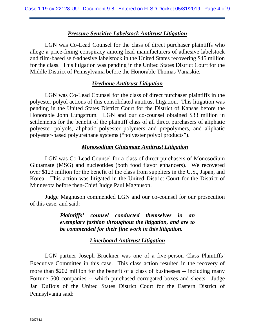### *Pressure Sensitive Labelstock Antitrust Litigation*

LGN was Co-Lead Counsel for the class of direct purchaser plaintiffs who allege a price-fixing conspiracy among lead manufacturers of adhesive labelstock and film-based self-adhesive labelstock in the United States recovering \$45 million for the class. This litigation was pending in the United States District Court for the Middle District of Pennsylvania before the Honorable Thomas Vanaskie.

## *Urethane Antitrust Litigation*

LGN was Co-Lead Counsel for the class of direct purchaser plaintiffs in the polyester polyol actions of this consolidated antitrust litigation. This litigation was pending in the United States District Court for the District of Kansas before the Honorable John Lungstrum. LGN and our co-counsel obtained \$33 million in settlements for the benefit of the plaintiff class of all direct purchasers of aliphatic polyester polyols, aliphatic polyester polymers and prepolymers, and aliphatic polyester-based polyurethane systems ("polyester polyol products").

## *Monosodium Glutamate Antitrust Litigation*

LGN was Co-Lead Counsel for a class of direct purchasers of Monosodium Glutamate (MSG) and nucleotides (both food flavor enhancers). We recovered over \$123 million for the benefit of the class from suppliers in the U.S., Japan, and Korea. This action was litigated in the United District Court for the District of Minnesota before then-Chief Judge Paul Magnuson.

Judge Magnuson commended LGN and our co-counsel for our prosecution of this case, and said:

> *Plaintiffs' counsel conducted themselves in an exemplary fashion throughout the litigation, and are to be commended for their fine work in this litigation.*

# *Linerboard Antitrust Litigation*

LGN partner Joseph Bruckner was one of a five-person Class Plaintiffs' Executive Committee in this case. This class action resulted in the recovery of more than \$202 million for the benefit of a class of businesses -- including many Fortune 500 companies -- which purchased corrugated boxes and sheets. Judge Jan DuBois of the United States District Court for the Eastern District of Pennsylvania said: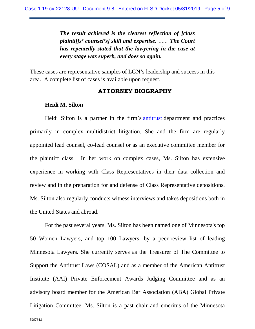*The result achieved is the clearest reflection of [class plaintiffs' counsel's] skill and expertise. . . . The Court has repeatedly stated that the lawyering in the case at every stage was superb, and does so again.*

These cases are representative samples of LGN's leadership and success in this area. A complete list of cases is available upon request.

#### **ATTORNEY BIOGRAPHY**

#### **Heidi M. Silton**

Heidi Silton is a partner in the firm's [antitrust](http://locklaw.com/prac-antitrust.html) department and practices primarily in complex multidistrict litigation. She and the firm are regularly appointed lead counsel, co-lead counsel or as an executive committee member for the plaintiff class. In her work on complex cases, Ms. Silton has extensive experience in working with Class Representatives in their data collection and review and in the preparation for and defense of Class Representative depositions. Ms. Silton also regularly conducts witness interviews and takes depositions both in the United States and abroad.

For the past several years, Ms. Silton has been named one of Minnesota's top 50 Women Lawyers, and top 100 Lawyers, by a peer-review list of leading Minnesota Lawyers. She currently serves as the Treasurer of The Committee to Support the Antitrust Laws (COSAL) and as a member of the American Antitrust Institute (AAI) Private Enforcement Awards Judging Committee and as an advisory board member for the American Bar Association (ABA) Global Private Litigation Committee. Ms. Silton is a past chair and emeritus of the Minnesota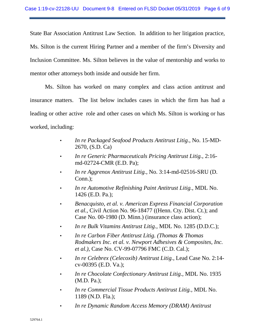State Bar Association Antitrust Law Section. In addition to her litigation practice, Ms. Silton is the current Hiring Partner and a member of the firm's Diversity and Inclusion Committee. Ms. Silton believes in the value of mentorship and works to mentor other attorneys both inside and outside her firm.

Ms. Silton has worked on many complex and class action antitrust and insurance matters. The list below includes cases in which the firm has had a leading or other active role and other cases on which Ms. Silton is working or has worked, including:

- *In re Packaged Seafood Products Antitrust Litig.*, No. 15-MD-2670, (S.D. Ca)
- *In re Generic Pharmaceuticals Pricing Antitrust Litig.*, 2:16 md-02724-CMR (E.D. Pa);
- *In re Aggrenox Antitrust Litig.*, No. 3:14-md-02516-SRU (D. Conn.);
- *In re Automotive Refinishing Paint Antitrust Litig.,* MDL No. 1426 (E.D. Pa.);
- *Benacquisto, et al. v. American Express Financial Corporation et al.,* Civil Action No. 96-18477 ((Henn. Cty. Dist. Ct.); and Case No. 00-1980 (D. Minn.) (insurance class action);
- *In re Bulk Vitamins Antitrust Litig.,* MDL No. 1285 (D.D.C.);
- *In re Carbon Fiber Antitrust Litig. (Thomas & Thomas Rodmakers Inc. et al. v. Newport Adhesives & Composites, Inc. et al.),* Case No. CV-99-07796 FMC (C.D. Cal.);
- *In re Celebrex (Celecoxib) Antitrust Litig.*, Lead Case No. 2:14 cv-00395 (E.D. Va.);
- *In re Chocolate Confectionary Antitrust Litig.,* MDL No. 1935 (M.D. Pa.);
- *In re Commercial Tissue Products Antitrust Litig.,* MDL No. 1189 (N.D. Fla.);
- *In re Dynamic Random Access Memory (DRAM) Antitrust*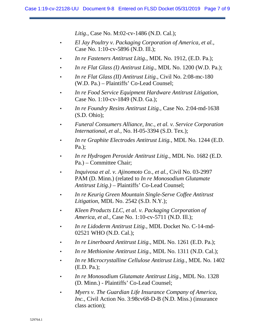*Litig.,* Case No. M:02-cv-1486 (N.D. Cal.);

- *El Jay Poultry v. Packaging Corporation of America, et al.,* Case No. 1:10-cv-5896 (N.D. Ill.);
- *In re Fasteners Antitrust Litig.,* MDL No. 1912, (E.D. Pa.);
- *In re Flat Glass (I) Antitrust Litig.,* MDL No. 1200 (W.D. Pa.);
- *In re Flat Glass (II) Antitrust Litig.*, Civil No. 2:08-mc-180 (W.D. Pa.) – Plaintiffs' Co-Lead Counsel;
- *In re Food Service Equipment Hardware Antitrust Litigation,* Case No. 1:10-cv-1849 (N.D. Ga.);
- *In re Foundry Resins Antitrust Litig.,* Case No. 2:04-md-1638 (S.D. Ohio);
- *Funeral Consumers Alliance, Inc., et al. v. Service Corporation International, et al.,* No. H-05-3394 (S.D. Tex.);
- *In re Graphite Electrodes Antitrust Litig.,* MDL No. 1244 (E.D. Pa.);
- *In re Hydrogen Peroxide Antitrust Litig.,* MDL No. 1682 (E.D. Pa.) – Committee Chair;
- *Inquivosa et al. v. Ajinomoto Co., et al.,* Civil No. 03-2997 PAM (D. Minn.) (related to *In re Monosodium Glutamate Antitrust Litig.)* – Plaintiffs' Co-Lead Counsel;
- *In re Keurig Green Mountain Single-Serve Coffee Antitrust Litigation*, MDL No. 2542 (S.D. N.Y.);
- *Kleen Products LLC, et al. v. Packaging Corporation of America, et al.,* Case No. 1:10-cv-5711 (N.D. Ill.);
- *In re Lidoderm Antitrust Litig.*, MDL Docket No. C-14-md-02521 WHO (N.D. Cal.);
- *In re Linerboard Antitrust Litig.,* MDL No. 1261 (E.D. Pa.);
- *In re Methionine Antitrust Litig.,* MDL No. 1311 (N.D. Cal.);
- *In re Microcrystalline Cellulose Antitrust Litig.,* MDL No. 1402 (E.D. Pa.);
- *In re Monosodium Glutamate Antitrust Litig.,* MDL No. 1328 (D. Minn.) - Plaintiffs' Co-Lead Counsel;
- *Myers v. The Guardian Life Insurance Company of America, Inc.,* Civil Action No. 3:98cv68-D-B (N.D. Miss.) (insurance class action);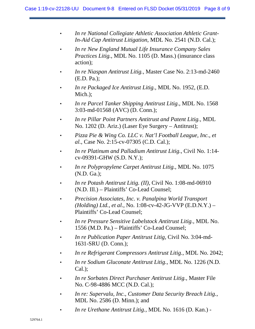- *In re National Collegiate Athletic Association Athletic Grant-In-Aid Cap Antitrust Litigation*, MDL No. 2541 (N.D. Cal.);
- *In re New England Mutual Life Insurance Company Sales Practices Litig.*, MDL No. 1105 (D. Mass.) (insurance class action);
- *In re Niaspan Antitrust Litig.*, Master Case No. 2:13-md-2460 (E.D. Pa.);
- *In re Packaged Ice Antitrust Litig.,* MDL No. 1952, (E.D. Mich.);
- *In re Parcel Tanker Shipping Antitrust Litig.,* MDL No. 1568 3:03-md-01568 (AVC) (D. Conn.);
- *In re Pillar Point Partners Antitrust and Patent Litig.,* MDL No. 1202 (D. Ariz.) (Laser Eye Surgery – Antitrust);
- *Pizza Pie & Wing Co. LLC v. Nat'l Football League, Inc., et al.*, Case No. 2:15-cv-07305 (C.D. Cal.);
- *In re Platinum and Palladium Antitrust Litig.*, Civil No. 1:14 cv-09391-GHW (S.D. N.Y.);
- *In re Polypropylene Carpet Antitrust Litig.,* MDL No. 1075 (N.D. Ga.);
- *In re Potash Antitrust Litig. (II)*, Civil No. 1:08-md-06910 (N.D. Ill.) – Plaintiffs' Co-Lead Counsel;
- *Precision Associates, Inc. v. Panalpina World Transport (Holding) Ltd., et al.,* No. 1:08-cv-42-JG-VVP (E.D.N.Y.) – Plaintiffs' Co-Lead Counsel;
- *In re Pressure Sensitive Labelstock Antitrust Litig.,* MDL No. 1556 (M.D. Pa.) – Plaintiffs' Co-Lead Counsel;
- *In re Publication Paper Antitrust Litig,* Civil No. 3:04-md-1631-SRU (D. Conn.);
- *In re Refrigerant Compressors Antitrust Litig.*, MDL No. 2042;
- *In re Sodium Gluconate Antitrust Litig.,* MDL No. 1226 (N.D. Cal.);
- *In re Sorbates Direct Purchaser Antitrust Litig.,* Master File No. C-98-4886 MCC (N.D. Cal.);
- *In re: Supervalu, Inc., Customer Data Security Breach Litig.*, MDL No. 2586 (D. Minn.); and
- *In re Urethane Antitrust Litig.,* MDL No. 1616 (D. Kan.) -